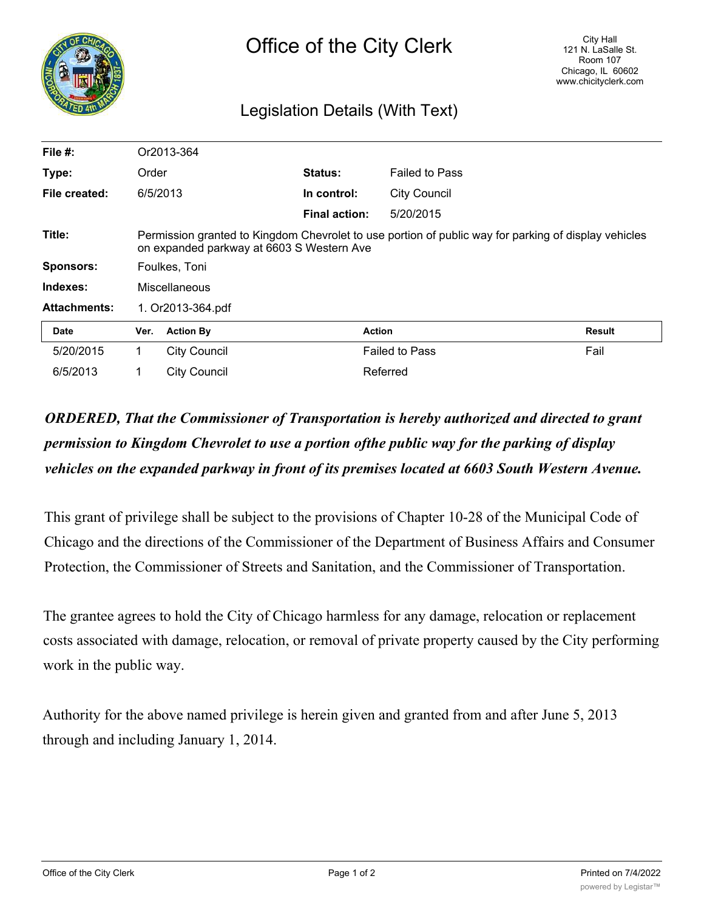

## Legislation Details (With Text)

| File $#$ :          |                                                                                                                                                   | Or2013-364          |                      |                       |               |
|---------------------|---------------------------------------------------------------------------------------------------------------------------------------------------|---------------------|----------------------|-----------------------|---------------|
| Type:               | Order                                                                                                                                             |                     | <b>Status:</b>       | <b>Failed to Pass</b> |               |
| File created:       |                                                                                                                                                   | 6/5/2013            | In control:          | <b>City Council</b>   |               |
|                     |                                                                                                                                                   |                     | <b>Final action:</b> | 5/20/2015             |               |
| Title:              | Permission granted to Kingdom Chevrolet to use portion of public way for parking of display vehicles<br>on expanded parkway at 6603 S Western Ave |                     |                      |                       |               |
| <b>Sponsors:</b>    | Foulkes, Toni                                                                                                                                     |                     |                      |                       |               |
| Indexes:            | <b>Miscellaneous</b>                                                                                                                              |                     |                      |                       |               |
| <b>Attachments:</b> | 1. Or2013-364.pdf                                                                                                                                 |                     |                      |                       |               |
| Date                | Ver.                                                                                                                                              | <b>Action By</b>    | <b>Action</b>        |                       | <b>Result</b> |
| 5/20/2015           | 1                                                                                                                                                 | <b>City Council</b> |                      | <b>Failed to Pass</b> | Fail          |
| 6/5/2013            |                                                                                                                                                   | <b>City Council</b> |                      | Referred              |               |

## *ORDERED, That the Commissioner of Transportation is hereby authorized and directed to grant permission to Kingdom Chevrolet to use a portion ofthe public way for the parking of display vehicles on the expanded parkway in front of its premises located at 6603 South Western Avenue.*

This grant of privilege shall be subject to the provisions of Chapter 10-28 of the Municipal Code of Chicago and the directions of the Commissioner of the Department of Business Affairs and Consumer Protection, the Commissioner of Streets and Sanitation, and the Commissioner of Transportation.

The grantee agrees to hold the City of Chicago harmless for any damage, relocation or replacement costs associated with damage, relocation, or removal of private property caused by the City performing work in the public way.

Authority for the above named privilege is herein given and granted from and after June 5, 2013 through and including January 1, 2014.